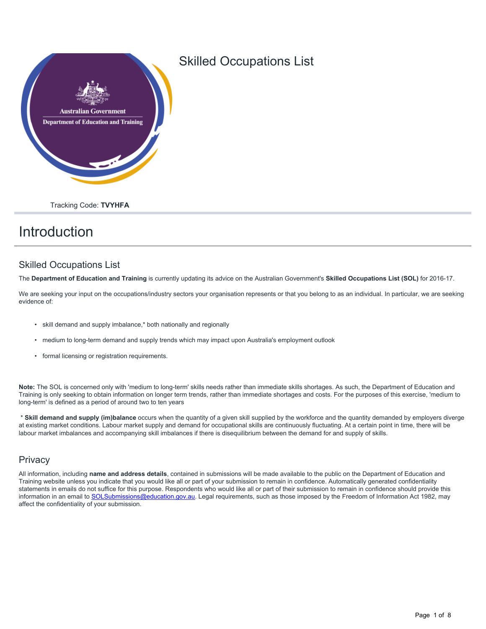

## Skilled Occupations List

Tracking Code: **TVYHFA**

# Introduction

### Skilled Occupations List

The **Department of Education and Training** is currently updating its advice on the Australian Government's **Skilled Occupations List (SOL)** for 2016-17.

We are seeking your input on the occupations/industry sectors your organisation represents or that you belong to as an individual. In particular, we are seeking evidence of:

- skill demand and supply imbalance,\* both nationally and regionally
- medium to long-term demand and supply trends which may impact upon Australia's employment outlook
- formal licensing or registration requirements.

**Note:** The SOL is concerned only with 'medium to long-term' skills needs rather than immediate skills shortages. As such, the Department of Education and Training is only seeking to obtain information on longer term trends, rather than immediate shortages and costs. For the purposes of this exercise, 'medium to long-term' is defined as a period of around two to ten years

 \* **Skill demand and supply (im)balance** occurs when the quantity of a given skill supplied by the workforce and the quantity demanded by employers diverge at existing market conditions. Labour market supply and demand for occupational skills are continuously fluctuating. At a certain point in time, there will be labour market imbalances and accompanying skill imbalances if there is disequilibrium between the demand for and supply of skills.

### **Privacy**

All information, including **name and address details**, contained in submissions will be made available to the public on the Department of Education and Training website unless you indicate that you would like all or part of your submission to remain in confidence. Automatically generated confidentiality statements in emails do not suffice for this purpose. Respondents who would like all or part of their submission to remain in confidence should provide this information in an email to [SOLSubmissions@education.gov.au.](mailto:SOLSubmissions@education.gov.au?subject=Skilled Occupation List) Legal requirements, such as those imposed by the Freedom of Information Act 1982, may affect the confidentiality of your submission.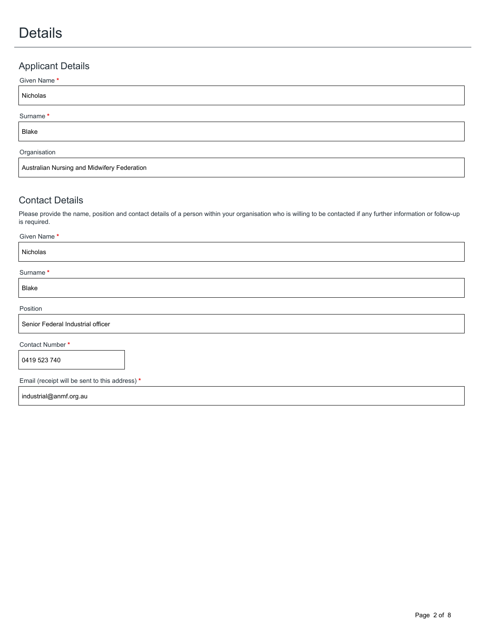# Details

## Applicant Details

# Nicholas Given Name **\*** Blake Surname **\*** Australian Nursing and Midwifery Federation Organisation

## Contact Details

Please provide the name, position and contact details of a person within your organisation who is willing to be contacted if any further information or follow-up is required.

| Given Name*                                    |
|------------------------------------------------|
| Nicholas                                       |
| Surname*                                       |
| Blake                                          |
| Position                                       |
| Senior Federal Industrial officer              |
| Contact Number*                                |
| 0419 523 740                                   |
| Email (receipt will be sent to this address) * |
| industrial@anmf.org.au                         |
|                                                |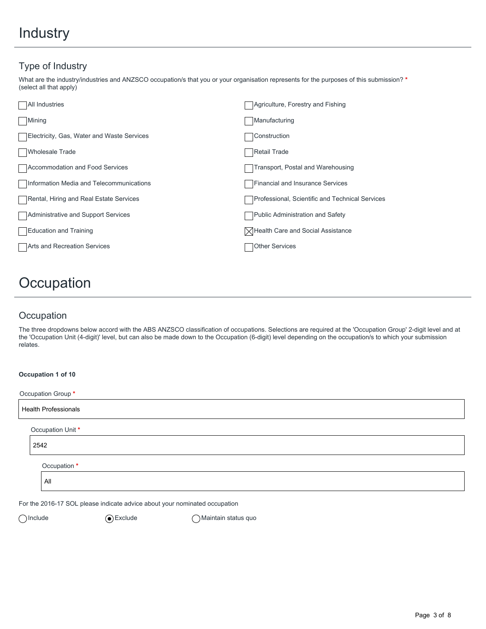## Type of Industry

What are the industry/industries and ANZSCO occupation/s that you or your organisation represents for the purposes of this submission? **\*** (select all that apply)

| <b>All Industries</b>                      | Agriculture, Forestry and Fishing                          |
|--------------------------------------------|------------------------------------------------------------|
| Mining                                     | Manufacturing                                              |
| Electricity, Gas, Water and Waste Services | Construction                                               |
| Wholesale Trade                            | Retail Trade                                               |
| Accommodation and Food Services            | Transport, Postal and Warehousing                          |
| Information Media and Telecommunications   | Financial and Insurance Services                           |
| Rental, Hiring and Real Estate Services    | Professional, Scientific and Technical Services            |
| Administrative and Support Services        | Public Administration and Safety                           |
| Education and Training                     | $\lfloor \times \rfloor$ Health Care and Social Assistance |
| Arts and Recreation Services               | <b>Other Services</b>                                      |
|                                            |                                                            |

# **Occupation**

## **Occupation**

**Occupation 1 of 10**

The three dropdowns below accord with the ABS ANZSCO classification of occupations. Selections are required at the 'Occupation Group' 2-digit level and at the 'Occupation Unit (4-digit)' level, but can also be made down to the Occupation (6-digit) level depending on the occupation/s to which your submission relates.

| Occupation Group *          |  |
|-----------------------------|--|
| <b>Health Professionals</b> |  |
| Occupation Unit *           |  |
| 2542                        |  |
| Occupation *                |  |
| All                         |  |
|                             |  |

For the 2016-17 SOL please indicate advice about your nominated occupation

(a) Include and G) Exclude All and Allen and Maintain status quo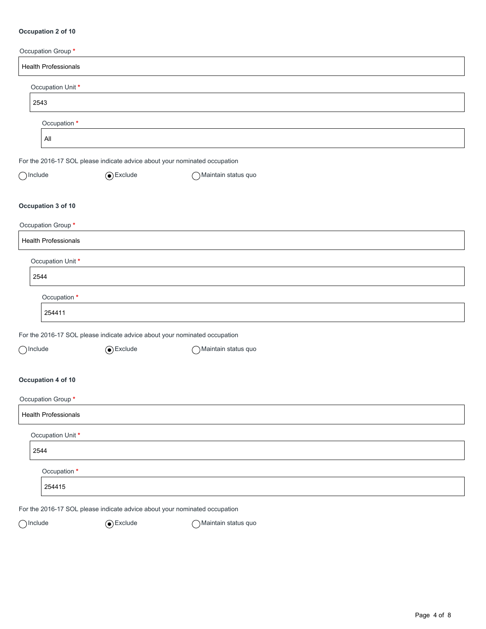#### **Occupation 2 of 10**

| Occupation Group*           |                                                                            |                       |  |
|-----------------------------|----------------------------------------------------------------------------|-----------------------|--|
| <b>Health Professionals</b> |                                                                            |                       |  |
|                             | Occupation Unit *                                                          |                       |  |
| 2543                        |                                                                            |                       |  |
|                             | Occupation *                                                               |                       |  |
| $A\parallel$                |                                                                            |                       |  |
|                             | For the 2016-17 SOL please indicate advice about your nominated occupation |                       |  |
| $\bigcap$ Include           | $\odot$ Exclude                                                            | ◯ Maintain status quo |  |
| Occupation 3 of 10          |                                                                            |                       |  |
| Occupation Group *          |                                                                            |                       |  |
| <b>Health Professionals</b> |                                                                            |                       |  |
|                             | Occupation Unit *                                                          |                       |  |
| 2544                        |                                                                            |                       |  |
|                             | Occupation *                                                               |                       |  |
| 254411                      |                                                                            |                       |  |
|                             | For the 2016-17 SOL please indicate advice about your nominated occupation |                       |  |
| $\bigcap$ Include           | $\odot$ Exclude                                                            | ◯ Maintain status quo |  |
| Occupation 4 of 10          |                                                                            |                       |  |
| Occupation Group*           |                                                                            |                       |  |
| <b>Health Professionals</b> |                                                                            |                       |  |
|                             | Occupation Unit *                                                          |                       |  |
| 2544                        |                                                                            |                       |  |
|                             | Occupation *                                                               |                       |  |
| 254415                      |                                                                            |                       |  |
|                             | For the 2016-17 SOL please indicate advice about your nominated occupation |                       |  |

 $\bigcirc$ Include  $\bigcirc$ Exclude  $\bigcirc$ Maintain status quo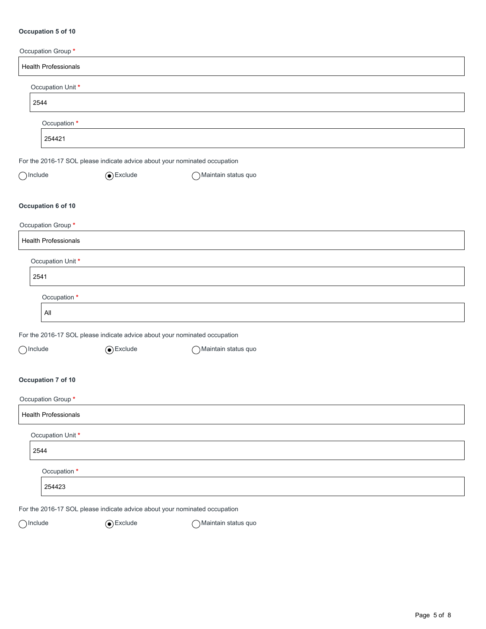#### **Occupation 5 of 10**

| Occupation Group*           |                                                                            |                       |  |
|-----------------------------|----------------------------------------------------------------------------|-----------------------|--|
| <b>Health Professionals</b> |                                                                            |                       |  |
| Occupation Unit*            |                                                                            |                       |  |
| 2544                        |                                                                            |                       |  |
| Occupation *                |                                                                            |                       |  |
| 254421                      |                                                                            |                       |  |
|                             | For the 2016-17 SOL please indicate advice about your nominated occupation |                       |  |
| $\bigcap$ Include           | $\odot$ Exclude                                                            | Maintain status quo   |  |
| Occupation 6 of 10          |                                                                            |                       |  |
| Occupation Group*           |                                                                            |                       |  |
| <b>Health Professionals</b> |                                                                            |                       |  |
| Occupation Unit*            |                                                                            |                       |  |
| 2541                        |                                                                            |                       |  |
| Occupation *                |                                                                            |                       |  |
| $\mathsf{All}$              |                                                                            |                       |  |
|                             | For the 2016-17 SOL please indicate advice about your nominated occupation |                       |  |
| $\bigcap$ Include           | $\odot$ Exclude                                                            | ◯ Maintain status quo |  |
| Occupation 7 of 10          |                                                                            |                       |  |
| Occupation Group*           |                                                                            |                       |  |
| <b>Health Professionals</b> |                                                                            |                       |  |
| Occupation Unit*            |                                                                            |                       |  |
| 2544                        |                                                                            |                       |  |
| Occupation *                |                                                                            |                       |  |
| 254423                      |                                                                            |                       |  |
|                             | For the 2016-17 SOL please indicate advice about your nominated occupation |                       |  |

 $\bigcirc$ Include  $\bigcirc$ Exclude  $\bigcirc$ Maintain status quo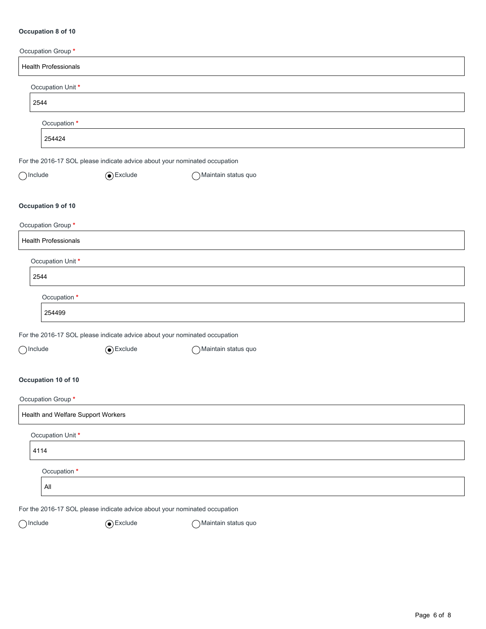#### **Occupation 8 of 10**

| Occupation Group*           |                                                                            |                       |  |
|-----------------------------|----------------------------------------------------------------------------|-----------------------|--|
| <b>Health Professionals</b> |                                                                            |                       |  |
| Occupation Unit*            |                                                                            |                       |  |
| 2544                        |                                                                            |                       |  |
| Occupation *                |                                                                            |                       |  |
| 254424                      |                                                                            |                       |  |
|                             | For the 2016-17 SOL please indicate advice about your nominated occupation |                       |  |
| $\bigcirc$ Include          | $\odot$ Exclude                                                            | ◯ Maintain status quo |  |
| Occupation 9 of 10          |                                                                            |                       |  |
| Occupation Group*           |                                                                            |                       |  |
| <b>Health Professionals</b> |                                                                            |                       |  |
| Occupation Unit*            |                                                                            |                       |  |
| 2544                        |                                                                            |                       |  |
| Occupation *                |                                                                            |                       |  |
| 254499                      |                                                                            |                       |  |
|                             | For the 2016-17 SOL please indicate advice about your nominated occupation |                       |  |
| $\bigcap$ Include           | $\odot$ Exclude                                                            | Maintain status quo   |  |
| Occupation 10 of 10         |                                                                            |                       |  |
| Occupation Group*           |                                                                            |                       |  |
|                             | Health and Welfare Support Workers                                         |                       |  |
| Occupation Unit*            |                                                                            |                       |  |
| 4114                        |                                                                            |                       |  |
| Occupation *                |                                                                            |                       |  |
| All                         |                                                                            |                       |  |
|                             | For the 2016-17 SOL please indicate advice about your nominated occupation |                       |  |
| $\bigcap$ Include           | $\odot$ Exclude                                                            | Maintain status quo   |  |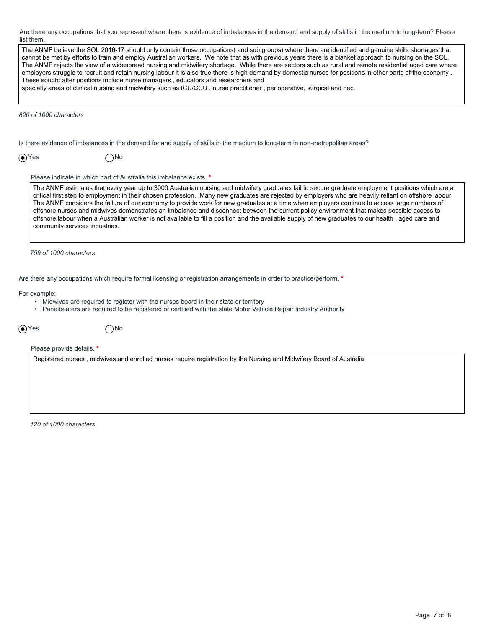Are there any occupations that you represent where there is evidence of imbalances in the demand and supply of skills in the medium to long-term? Please list them.

| list them.                                                                                                                                                                                                                                                                                                                                                                                                                                                                                                                                                                                                                                                                                                                                                                                                                                                 |  |
|------------------------------------------------------------------------------------------------------------------------------------------------------------------------------------------------------------------------------------------------------------------------------------------------------------------------------------------------------------------------------------------------------------------------------------------------------------------------------------------------------------------------------------------------------------------------------------------------------------------------------------------------------------------------------------------------------------------------------------------------------------------------------------------------------------------------------------------------------------|--|
| The ANMF believe the SOL 2016-17 should only contain those occupations( and sub groups) where there are identified and genuine skills shortages that<br>cannot be met by efforts to train and employ Australian workers. We note that as with previous years there is a blanket approach to nursing on the SOL.<br>The ANMF rejects the view of a widespread nursing and midwifery shortage. While there are sectors such as rural and remote residential aged care where<br>employers struggle to recruit and retain nursing labour it is also true there is high demand by domestic nurses for positions in other parts of the economy.<br>These sought after positions include nurse managers, educators and researchers and<br>specialty areas of clinical nursing and midwifery such as ICU/CCU, nurse practitioner, perioperative, surgical and nec. |  |
| 820 of 1000 characters                                                                                                                                                                                                                                                                                                                                                                                                                                                                                                                                                                                                                                                                                                                                                                                                                                     |  |
| Is there evidence of imbalances in the demand for and supply of skills in the medium to long-term in non-metropolitan areas?                                                                                                                                                                                                                                                                                                                                                                                                                                                                                                                                                                                                                                                                                                                               |  |
| $\odot$ Yes<br>∩No                                                                                                                                                                                                                                                                                                                                                                                                                                                                                                                                                                                                                                                                                                                                                                                                                                         |  |
| Please indicate in which part of Australia this imbalance exists. *                                                                                                                                                                                                                                                                                                                                                                                                                                                                                                                                                                                                                                                                                                                                                                                        |  |
| The ANMF estimates that every year up to 3000 Australian nursing and midwifery graduates fail to secure graduate employment positions which are a<br>critical first step to employment in their chosen profession. Many new graduates are rejected by employers who are heavily reliant on offshore labour.<br>The ANMF considers the failure of our economy to provide work for new graduates at a time when employers continue to access large numbers of<br>offshore nurses and midwives demonstrates an imbalance and disconnect between the current policy environment that makes possible access to<br>offshore labour when a Australian worker is not available to fill a position and the available supply of new graduates to our health, aged care and<br>community services industries.                                                         |  |
| 759 of 1000 characters                                                                                                                                                                                                                                                                                                                                                                                                                                                                                                                                                                                                                                                                                                                                                                                                                                     |  |
| Are there any occupations which require formal licensing or registration arrangements in order to practice/perform. *                                                                                                                                                                                                                                                                                                                                                                                                                                                                                                                                                                                                                                                                                                                                      |  |
| For example:<br>• Midwives are required to register with the nurses board in their state or territory<br>• Panelbeaters are required to be registered or certified with the state Motor Vehicle Repair Industry Authority                                                                                                                                                                                                                                                                                                                                                                                                                                                                                                                                                                                                                                  |  |
| $\odot$ Yes<br>)No                                                                                                                                                                                                                                                                                                                                                                                                                                                                                                                                                                                                                                                                                                                                                                                                                                         |  |
| Please provide details. *                                                                                                                                                                                                                                                                                                                                                                                                                                                                                                                                                                                                                                                                                                                                                                                                                                  |  |
| Registered nurses, midwives and enrolled nurses require registration by the Nursing and Midwifery Board of Australia.                                                                                                                                                                                                                                                                                                                                                                                                                                                                                                                                                                                                                                                                                                                                      |  |
| 120 of 1000 characters                                                                                                                                                                                                                                                                                                                                                                                                                                                                                                                                                                                                                                                                                                                                                                                                                                     |  |